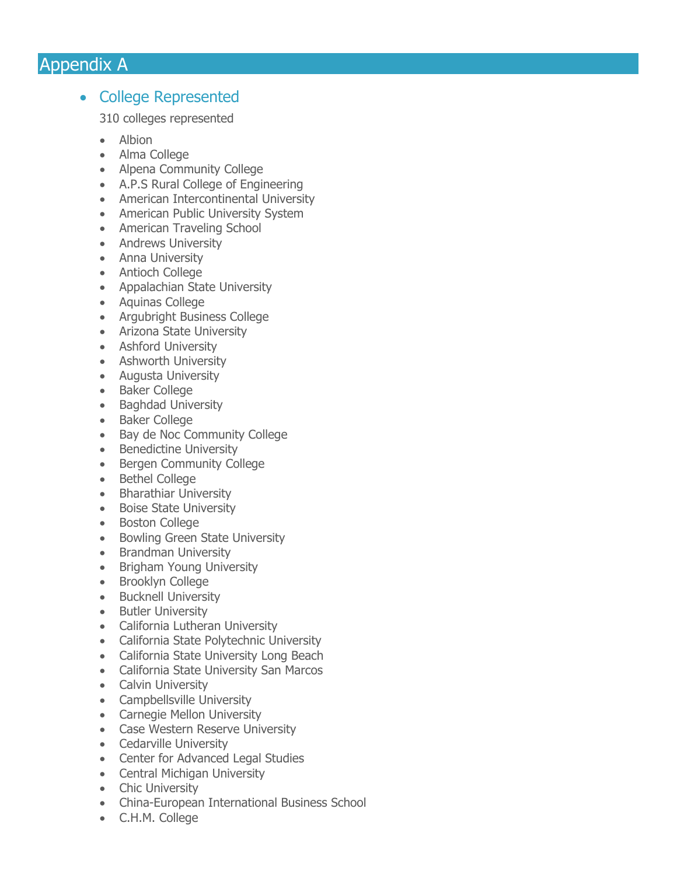## Appendix A

## • College Represented

310 colleges represented

- Albion
- Alma College
- Alpena Community College
- A.P.S Rural College of Engineering
- American Intercontinental University
- American Public University System
- American Traveling School
- Andrews University
- Anna University
- Antioch College
- Appalachian State University
- Aquinas College
- Argubright Business College
- Arizona State University
- Ashford University
- Ashworth University
- Augusta University
- Baker College
- Baghdad University
- Baker College
- Bay de Noc Community College
- Benedictine University
- Bergen Community College
- Bethel College
- Bharathiar University
- Boise State University
- Boston College
- Bowling Green State University
- Brandman University
- Brigham Young University
- Brooklyn College
- Bucknell University
- Butler University
- California Lutheran University
- California State Polytechnic University
- California State University Long Beach
- California State University San Marcos
- Calvin University
- Campbellsville University
- Carnegie Mellon University
- Case Western Reserve University
- Cedarville University
- Center for Advanced Legal Studies
- Central Michigan University
- Chic University
- China-European International Business School
- C.H.M. College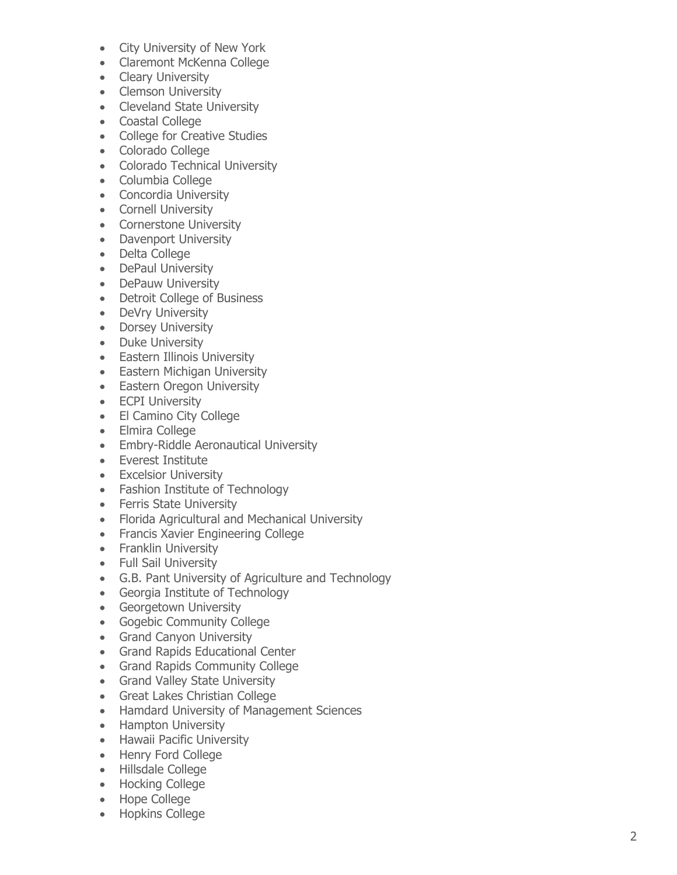- City University of New York
- Claremont McKenna College
- Cleary University
- Clemson University
- Cleveland State University
- Coastal College
- College for Creative Studies
- Colorado College
- Colorado Technical University
- Columbia College
- Concordia University
- Cornell University
- Cornerstone University
- Davenport University
- Delta College
- DePaul University
- DePauw University
- Detroit College of Business
- DeVry University
- Dorsey University
- Duke University
- Eastern Illinois University
- Eastern Michigan University
- Eastern Oregon University
- ECPI University
- El Camino City College
- Elmira College
- Embry-Riddle Aeronautical University
- Everest Institute
- Excelsior University
- Fashion Institute of Technology
- Ferris State University
- Florida Agricultural and Mechanical University
- Francis Xavier Engineering College
- Franklin University
- Full Sail University
- G.B. Pant University of Agriculture and Technology
- Georgia Institute of Technology
- Georgetown University
- Gogebic Community College
- Grand Canyon University
- Grand Rapids Educational Center
- Grand Rapids Community College
- Grand Valley State University
- Great Lakes Christian College
- Hamdard University of Management Sciences
- Hampton University
- Hawaii Pacific University
- Henry Ford College
- Hillsdale College
- Hocking College
- Hope College
- Hopkins College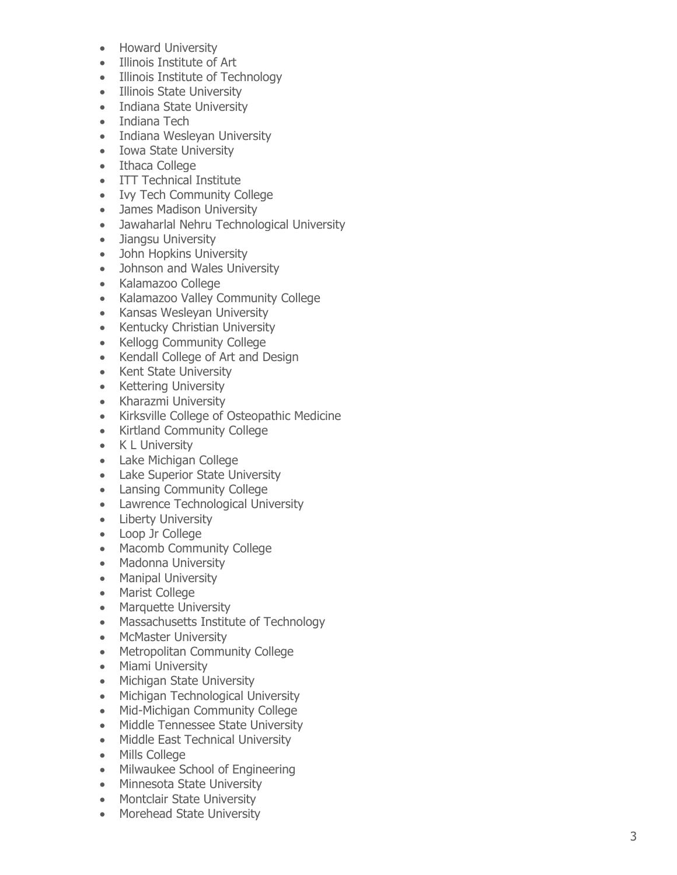- Howard University
- Illinois Institute of Art
- Illinois Institute of Technology
- Illinois State University
- Indiana State University
- Indiana Tech
- Indiana Wesleyan University
- Iowa State University
- Ithaca College
- ITT Technical Institute
- Ivy Tech Community College
- James Madison University
- Jawaharlal Nehru Technological University
- Jiangsu University
- John Hopkins University
- Johnson and Wales University
- Kalamazoo College
- Kalamazoo Valley Community College
- Kansas Wesleyan University
- Kentucky Christian University
- Kellogg Community College
- Kendall College of Art and Design
- Kent State University
- Kettering University
- Kharazmi University
- Kirksville College of Osteopathic Medicine
- Kirtland Community College
- K L University
- Lake Michigan College
- Lake Superior State University
- Lansing Community College
- Lawrence Technological University
- Liberty University
- Loop Jr College
- Macomb Community College
- Madonna University
- Manipal University
- Marist College
- Marquette University
- Massachusetts Institute of Technology
- McMaster University
- Metropolitan Community College
- Miami University
- Michigan State University
- Michigan Technological University
- Mid-Michigan Community College
- Middle Tennessee State University
- Middle East Technical University
- Mills College
- Milwaukee School of Engineering
- Minnesota State University
- Montclair State University
- Morehead State University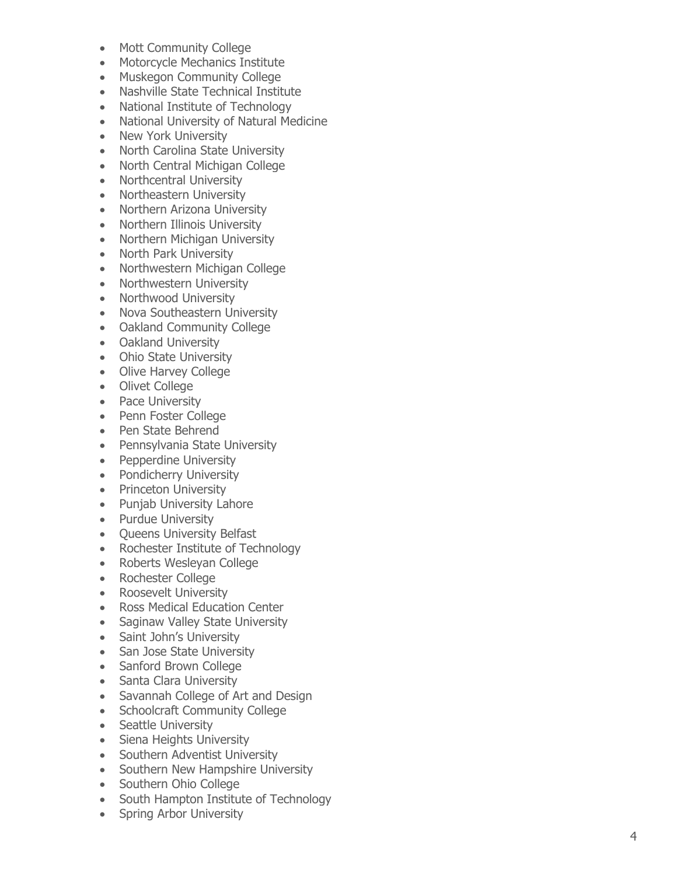- Mott Community College
- Motorcycle Mechanics Institute
- Muskegon Community College
- Nashville State Technical Institute
- National Institute of Technology
- National University of Natural Medicine
- New York University
- North Carolina State University
- North Central Michigan College
- Northcentral University
- Northeastern University
- Northern Arizona University
- Northern Illinois University
- Northern Michigan University
- North Park University
- Northwestern Michigan College
- Northwestern University
- Northwood University
- Nova Southeastern University
- Oakland Community College
- Oakland University
- Ohio State University
- Olive Harvey College
- Olivet College
- Pace University
- Penn Foster College
- Pen State Behrend
- Pennsylvania State University
- Pepperdine University
- Pondicherry University
- Princeton University
- Punjab University Lahore
- Purdue University
- Queens University Belfast
- Rochester Institute of Technology
- Roberts Wesleyan College
- Rochester College
- Roosevelt University
- Ross Medical Education Center
- Saginaw Valley State University
- Saint John's University
- San Jose State University
- Sanford Brown College
- Santa Clara University
- Savannah College of Art and Design
- Schoolcraft Community College
- Seattle University
- Siena Heights University
- Southern Adventist University
- Southern New Hampshire University
- Southern Ohio College
- South Hampton Institute of Technology
- Spring Arbor University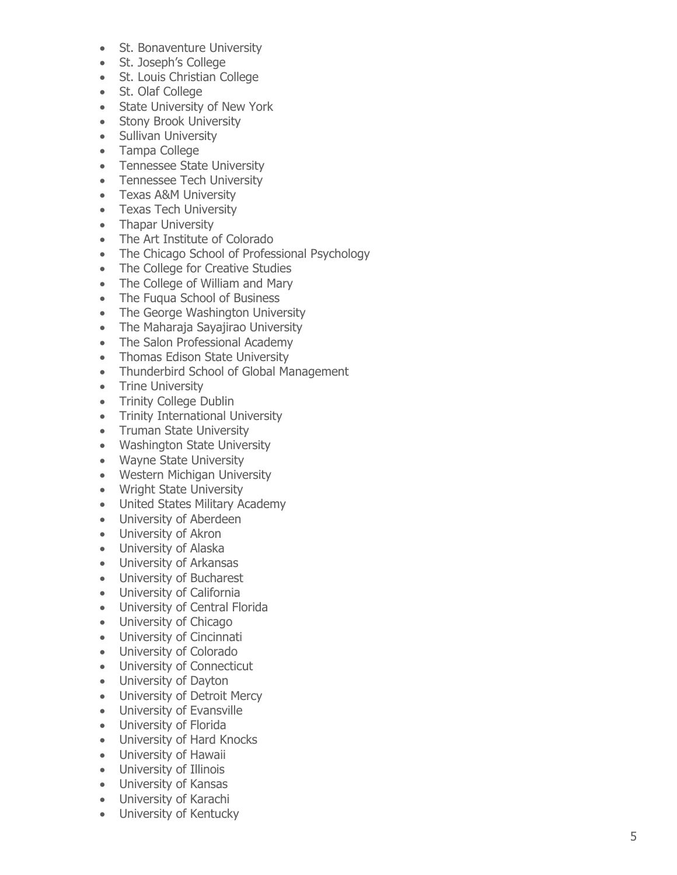- St. Bonaventure University
- St. Joseph's College
- St. Louis Christian College
- St. Olaf College
- State University of New York
- Stony Brook University
- Sullivan University
- Tampa College
- Tennessee State University
- Tennessee Tech University
- Texas A&M University
- Texas Tech University
- Thapar University
- The Art Institute of Colorado
- The Chicago School of Professional Psychology
- The College for Creative Studies
- The College of William and Mary
- The Fuqua School of Business
- The George Washington University
- The Maharaja Sayajirao University
- The Salon Professional Academy
- Thomas Edison State University
- Thunderbird School of Global Management
- Trine University
- Trinity College Dublin
- Trinity International University
- Truman State University
- Washington State University
- Wayne State University
- Western Michigan University
- Wright State University
- United States Military Academy
- University of Aberdeen
- University of Akron
- University of Alaska
- University of Arkansas
- University of Bucharest
- University of California
- University of Central Florida
- University of Chicago
- University of Cincinnati
- University of Colorado
- University of Connecticut
- University of Dayton
- University of Detroit Mercy
- University of Evansville
- University of Florida
- University of Hard Knocks
- University of Hawaii
- University of Illinois
- University of Kansas
- University of Karachi
- University of Kentucky